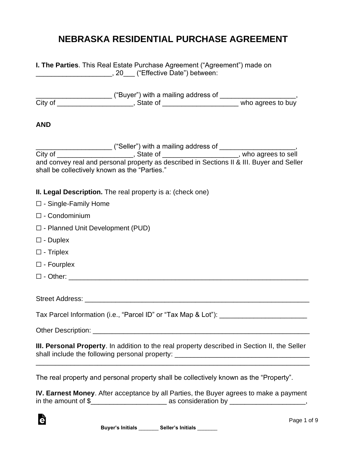## **NEBRASKA RESIDENTIAL PURCHASE AGREEMENT**

| I. The Parties. This Real Estate Purchase Agreement ("Agreement") made on<br>___________________________, 20____ ("Effective Date") between:                                     |  |  |
|----------------------------------------------------------------------------------------------------------------------------------------------------------------------------------|--|--|
|                                                                                                                                                                                  |  |  |
| <b>AND</b>                                                                                                                                                                       |  |  |
| shall be collectively known as the "Parties."                                                                                                                                    |  |  |
| II. Legal Description. The real property is a: (check one)                                                                                                                       |  |  |
| $\Box$ - Single-Family Home                                                                                                                                                      |  |  |
| $\square$ - Condominium                                                                                                                                                          |  |  |
| $\Box$ - Planned Unit Development (PUD)                                                                                                                                          |  |  |
| $\square$ - Duplex                                                                                                                                                               |  |  |
| $\Box$ - Triplex                                                                                                                                                                 |  |  |
| $\square$ - Fourplex                                                                                                                                                             |  |  |
| $\square$ - Other: $\_\_$                                                                                                                                                        |  |  |
|                                                                                                                                                                                  |  |  |
| Tax Parcel Information (i.e., "Parcel ID" or "Tax Map & Lot"): __________________                                                                                                |  |  |
|                                                                                                                                                                                  |  |  |
| III. Personal Property. In addition to the real property described in Section II, the Seller<br>shall include the following personal property: _________________________________ |  |  |
| The real property and personal property shall be collectively known as the "Property".                                                                                           |  |  |

**IV. Earnest Money**. After acceptance by all Parties, the Buyer agrees to make a payment in the amount of  $\frac{1}{2}$  as consideration by \_\_\_\_\_\_\_\_\_\_\_\_\_\_\_\_,

Ġ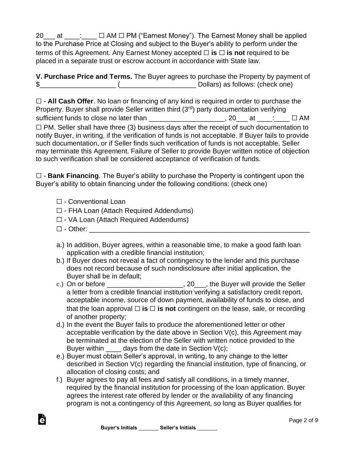20\_\_\_ at \_\_\_\_: □ AM □ PM ("Earnest Money"). The Earnest Money shall be applied to the Purchase Price at Closing and subject to the Buyer's ability to perform under the terms of this Agreement. Any Earnest Money accepted ☐ **is** ☐ **is not** required to be placed in a separate trust or escrow account in accordance with State law.

**V. Purchase Price and Terms.** The Buyer agrees to purchase the Property by payment of \$\_\_\_\_\_\_\_\_\_\_\_\_\_\_\_\_\_\_\_\_ (\_\_\_\_\_\_\_\_\_\_\_\_\_\_\_\_\_\_\_\_ Dollars) as follows: (check one)

☐ - **All Cash Offer**. No loan or financing of any kind is required in order to purchase the Property. Buyer shall provide Seller written third  $(3<sup>rd</sup>)$  party documentation verifying sufficient funds to close no later than  $\Box$   $\Box$  AM  $\Box$   $\Box$  AM  $\Box$  PM. Seller shall have three (3) business days after the receipt of such documentation to notify Buyer, in writing, if the verification of funds is not acceptable. If Buyer fails to provide such documentation, or if Seller finds such verification of funds is not acceptable, Seller may terminate this Agreement. Failure of Seller to provide Buyer written notice of objection to such verification shall be considered acceptance of verification of funds.

☐ - **Bank Financing**. The Buyer's ability to purchase the Property is contingent upon the Buyer's ability to obtain financing under the following conditions: (check one)

- ☐ Conventional Loan
- ☐ FHA Loan (Attach Required Addendums)
- ☐ VA Loan (Attach Required Addendums)
- $\Box$  Other:

- a.) In addition, Buyer agrees, within a reasonable time, to make a good faith loan application with a credible financial institution;
- b.) If Buyer does not reveal a fact of contingency to the lender and this purchase does not record because of such nondisclosure after initial application, the Buyer shall be in default;
- c.) On or before  $\frac{1}{\sqrt{1-\frac{1}{2}}}\frac{1}{\sqrt{1-\frac{1}{2}}}\frac{1}{\sqrt{1-\frac{1}{2}}}\frac{1}{\sqrt{1-\frac{1}{2}}}\frac{1}{\sqrt{1-\frac{1}{2}}}\frac{1}{\sqrt{1-\frac{1}{2}}}\frac{1}{\sqrt{1-\frac{1}{2}}}\frac{1}{\sqrt{1-\frac{1}{2}}}\frac{1}{\sqrt{1-\frac{1}{2}}}\frac{1}{\sqrt{1-\frac{1}{2}}}\frac{1}{\sqrt{1-\frac{1}{2}}}\frac{1}{\sqrt{1-\frac{1}{2}}}\frac{1}{\sqrt{1-\frac$ a letter from a credible financial institution verifying a satisfactory credit report, acceptable income, source of down payment, availability of funds to close, and that the loan approval  $\Box$  **is**  $\Box$  **is not** contingent on the lease, sale, or recording of another property;
- d.) In the event the Buyer fails to produce the aforementioned letter or other acceptable verification by the date above in Section V(c), this Agreement may be terminated at the election of the Seller with written notice provided to the Buyer within  $\qquad \qquad$  days from the date in Section V(c);
- e.) Buyer must obtain Seller's approval, in writing, to any change to the letter described in Section V(c) regarding the financial institution, type of financing, or allocation of closing costs; and
- f.) Buyer agrees to pay all fees and satisfy all conditions, in a timely manner, required by the financial institution for processing of the loan application. Buyer agrees the interest rate offered by lender or the availability of any financing program is not a contingency of this Agreement, so long as Buyer qualifies for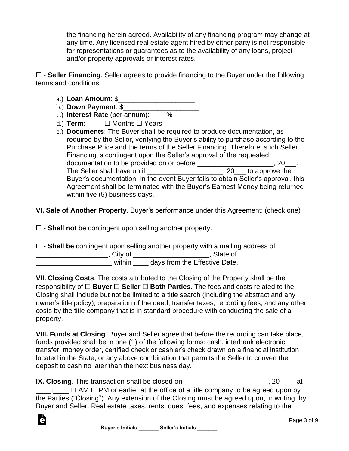the financing herein agreed. Availability of any financing program may change at any time. Any licensed real estate agent hired by either party is not responsible for representations or guarantees as to the availability of any loans, project and/or property approvals or interest rates.

☐ - **Seller Financing**. Seller agrees to provide financing to the Buyer under the following terms and conditions:

- a.) **Loan Amount**: \$\_\_\_\_\_\_\_\_\_\_\_\_\_\_\_\_\_\_\_\_
- b.) **Down Payment**: \$\_\_\_\_\_\_\_\_\_\_\_\_\_\_\_\_\_\_\_\_

è

- c.) **Interest Rate** (per annum): \_\_\_\_%
- d.) **Term**:  $□$  Months □ Years
- e.) **Documents**: The Buyer shall be required to produce documentation, as required by the Seller, verifying the Buyer's ability to purchase according to the Purchase Price and the terms of the Seller Financing. Therefore, such Seller Financing is contingent upon the Seller's approval of the requested documentation to be provided on or before **and the set of the set of the set of the set of the set of the set o** The Seller shall have until \_\_\_\_\_\_\_\_\_\_\_\_\_\_\_\_\_\_\_\_\_\_, 20\_\_\_ to approve the Buyer's documentation. In the event Buyer fails to obtain Seller's approval, this Agreement shall be terminated with the Buyer's Earnest Money being returned within five (5) business days.

**VI. Sale of Another Property**. Buyer's performance under this Agreement: (check one)

☐ - **Shall not** be contingent upon selling another property.

|           | $\Box$ - Shall be contingent upon selling another property with a mailing address of |
|-----------|--------------------------------------------------------------------------------------|
| , City of | . State of                                                                           |
| within    | days from the Effective Date.                                                        |

**VII. Closing Costs**. The costs attributed to the Closing of the Property shall be the responsibility of ☐ **Buyer** ☐ **Seller** ☐ **Both Parties**. The fees and costs related to the Closing shall include but not be limited to a title search (including the abstract and any owner's title policy), preparation of the deed, transfer taxes, recording fees, and any other costs by the title company that is in standard procedure with conducting the sale of a property.

**VIII. Funds at Closing**. Buyer and Seller agree that before the recording can take place, funds provided shall be in one (1) of the following forms: cash, interbank electronic transfer, money order, certified check or cashier's check drawn on a financial institution located in the State, or any above combination that permits the Seller to convert the deposit to cash no later than the next business day.

**IX. Closing**. This transaction shall be closed on \_\_\_\_\_\_\_\_\_\_\_\_\_\_\_\_\_\_\_\_\_\_\_, 20\_\_\_\_\_ at  $\Box$   $\Box$  AM  $\Box$  PM or earlier at the office of a title company to be agreed upon by the Parties ("Closing"). Any extension of the Closing must be agreed upon, in writing, by Buyer and Seller. Real estate taxes, rents, dues, fees, and expenses relating to the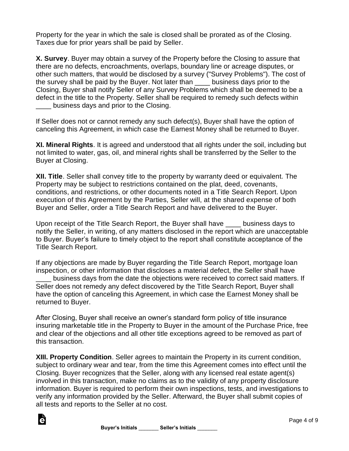Property for the year in which the sale is closed shall be prorated as of the Closing. Taxes due for prior years shall be paid by Seller.

**X. Survey**. Buyer may obtain a survey of the Property before the Closing to assure that there are no defects, encroachments, overlaps, boundary line or acreage disputes, or other such matters, that would be disclosed by a survey ("Survey Problems"). The cost of the survey shall be paid by the Buyer. Not later than \_\_\_\_ business days prior to the Closing, Buyer shall notify Seller of any Survey Problems which shall be deemed to be a defect in the title to the Property. Seller shall be required to remedy such defects within business days and prior to the Closing.

If Seller does not or cannot remedy any such defect(s), Buyer shall have the option of canceling this Agreement, in which case the Earnest Money shall be returned to Buyer.

**XI. Mineral Rights**. It is agreed and understood that all rights under the soil, including but not limited to water, gas, oil, and mineral rights shall be transferred by the Seller to the Buyer at Closing.

**XII. Title**. Seller shall convey title to the property by warranty deed or equivalent. The Property may be subject to restrictions contained on the plat, deed, covenants, conditions, and restrictions, or other documents noted in a Title Search Report. Upon execution of this Agreement by the Parties, Seller will, at the shared expense of both Buyer and Seller, order a Title Search Report and have delivered to the Buyer.

Upon receipt of the Title Search Report, the Buyer shall have \_\_\_\_ business days to notify the Seller, in writing, of any matters disclosed in the report which are unacceptable to Buyer. Buyer's failure to timely object to the report shall constitute acceptance of the Title Search Report.

If any objections are made by Buyer regarding the Title Search Report, mortgage loan inspection, or other information that discloses a material defect, the Seller shall have business days from the date the objections were received to correct said matters. If Seller does not remedy any defect discovered by the Title Search Report, Buyer shall have the option of canceling this Agreement, in which case the Earnest Money shall be returned to Buyer.

After Closing, Buyer shall receive an owner's standard form policy of title insurance insuring marketable title in the Property to Buyer in the amount of the Purchase Price, free and clear of the objections and all other title exceptions agreed to be removed as part of this transaction.

**XIII. Property Condition**. Seller agrees to maintain the Property in its current condition, subject to ordinary wear and tear, from the time this Agreement comes into effect until the Closing. Buyer recognizes that the Seller, along with any licensed real estate agent(s) involved in this transaction, make no claims as to the validity of any property disclosure information. Buyer is required to perform their own inspections, tests, and investigations to verify any information provided by the Seller. Afterward, the Buyer shall submit copies of all tests and reports to the Seller at no cost.

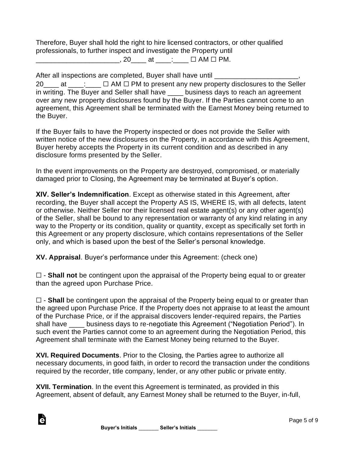Therefore, Buyer shall hold the right to hire licensed contractors, or other qualified professionals, to further inspect and investigate the Property until

 $\Box$   $\Box$  AM  $\Box$  PM.

After all inspections are completed, Buyer shall have until \_\_\_\_\_\_\_\_\_\_\_\_\_\_\_\_\_\_\_\_

 $20$  at \_\_\_; \_\_\_  $\Box$  AM  $\Box$  PM to present any new property disclosures to the Seller in writing. The Buyer and Seller shall have \_\_\_\_ business days to reach an agreement over any new property disclosures found by the Buyer. If the Parties cannot come to an agreement, this Agreement shall be terminated with the Earnest Money being returned to the Buyer.

If the Buyer fails to have the Property inspected or does not provide the Seller with written notice of the new disclosures on the Property, in accordance with this Agreement, Buyer hereby accepts the Property in its current condition and as described in any disclosure forms presented by the Seller.

In the event improvements on the Property are destroyed, compromised, or materially damaged prior to Closing, the Agreement may be terminated at Buyer's option.

**XIV. Seller's Indemnification**. Except as otherwise stated in this Agreement, after recording, the Buyer shall accept the Property AS IS, WHERE IS, with all defects, latent or otherwise. Neither Seller nor their licensed real estate agent(s) or any other agent(s) of the Seller, shall be bound to any representation or warranty of any kind relating in any way to the Property or its condition, quality or quantity, except as specifically set forth in this Agreement or any property disclosure, which contains representations of the Seller only, and which is based upon the best of the Seller's personal knowledge.

**XV. Appraisal**. Buyer's performance under this Agreement: (check one)

☐ - **Shall not** be contingent upon the appraisal of the Property being equal to or greater than the agreed upon Purchase Price.

□ - **Shall** be contingent upon the appraisal of the Property being equal to or greater than the agreed upon Purchase Price. If the Property does not appraise to at least the amount of the Purchase Price, or if the appraisal discovers lender-required repairs, the Parties shall have business days to re-negotiate this Agreement ("Negotiation Period"). In such event the Parties cannot come to an agreement during the Negotiation Period, this Agreement shall terminate with the Earnest Money being returned to the Buyer.

**XVI. Required Documents**. Prior to the Closing, the Parties agree to authorize all necessary documents, in good faith, in order to record the transaction under the conditions required by the recorder, title company, lender, or any other public or private entity.

**XVII. Termination**. In the event this Agreement is terminated, as provided in this Agreement, absent of default, any Earnest Money shall be returned to the Buyer, in-full,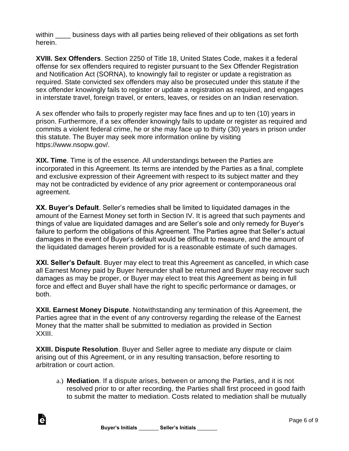within business days with all parties being relieved of their obligations as set forth herein.

**XVIII. Sex Offenders**. Section 2250 of Title 18, United States Code, makes it a federal offense for sex offenders required to register pursuant to the Sex Offender Registration and Notification Act (SORNA), to knowingly fail to register or update a registration as required. State convicted sex offenders may also be prosecuted under this statute if the sex offender knowingly fails to register or update a registration as required, and engages in interstate travel, foreign travel, or enters, leaves, or resides on an Indian reservation.

A sex offender who fails to properly register may face fines and up to ten (10) years in prison. Furthermore, if a sex offender knowingly fails to update or register as required and commits a violent federal crime, he or she may face up to thirty (30) years in prison under this statute. The Buyer may seek more information online by visiting https://www.nsopw.gov/.

**XIX. Time**. Time is of the essence. All understandings between the Parties are incorporated in this Agreement. Its terms are intended by the Parties as a final, complete and exclusive expression of their Agreement with respect to its subject matter and they may not be contradicted by evidence of any prior agreement or contemporaneous oral agreement.

**XX. Buyer's Default**. Seller's remedies shall be limited to liquidated damages in the amount of the Earnest Money set forth in Section IV. It is agreed that such payments and things of value are liquidated damages and are Seller's sole and only remedy for Buyer's failure to perform the obligations of this Agreement. The Parties agree that Seller's actual damages in the event of Buyer's default would be difficult to measure, and the amount of the liquidated damages herein provided for is a reasonable estimate of such damages.

**XXI. Seller's Default**. Buyer may elect to treat this Agreement as cancelled, in which case all Earnest Money paid by Buyer hereunder shall be returned and Buyer may recover such damages as may be proper, or Buyer may elect to treat this Agreement as being in full force and effect and Buyer shall have the right to specific performance or damages, or both.

**XXII. Earnest Money Dispute**. Notwithstanding any termination of this Agreement, the Parties agree that in the event of any controversy regarding the release of the Earnest Money that the matter shall be submitted to mediation as provided in Section XXIII.

**XXIII. Dispute Resolution**. Buyer and Seller agree to mediate any dispute or claim arising out of this Agreement, or in any resulting transaction, before resorting to arbitration or court action.

a.) **Mediation**. If a dispute arises, between or among the Parties, and it is not resolved prior to or after recording, the Parties shall first proceed in good faith to submit the matter to mediation. Costs related to mediation shall be mutually

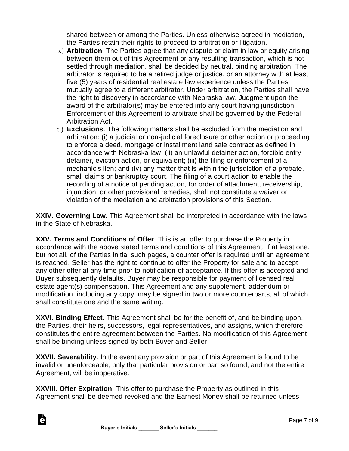shared between or among the Parties. Unless otherwise agreed in mediation, the Parties retain their rights to proceed to arbitration or litigation.

- b.) **Arbitration**. The Parties agree that any dispute or claim in law or equity arising between them out of this Agreement or any resulting transaction, which is not settled through mediation, shall be decided by neutral, binding arbitration. The arbitrator is required to be a retired judge or justice, or an attorney with at least five (5) years of residential real estate law experience unless the Parties mutually agree to a different arbitrator. Under arbitration, the Parties shall have the right to discovery in accordance with Nebraska law. Judgment upon the award of the arbitrator(s) may be entered into any court having jurisdiction. Enforcement of this Agreement to arbitrate shall be governed by the Federal Arbitration Act.
- c.) **Exclusions**. The following matters shall be excluded from the mediation and arbitration: (i) a judicial or non-judicial foreclosure or other action or proceeding to enforce a deed, mortgage or installment land sale contract as defined in accordance with Nebraska law; (ii) an unlawful detainer action, forcible entry detainer, eviction action, or equivalent; (iii) the filing or enforcement of a mechanic's lien; and (iv) any matter that is within the jurisdiction of a probate, small claims or bankruptcy court. The filing of a court action to enable the recording of a notice of pending action, for order of attachment, receivership, injunction, or other provisional remedies, shall not constitute a waiver or violation of the mediation and arbitration provisions of this Section.

**XXIV. Governing Law.** This Agreement shall be interpreted in accordance with the laws in the State of Nebraska.

**XXV. Terms and Conditions of Offer**. This is an offer to purchase the Property in accordance with the above stated terms and conditions of this Agreement. If at least one, but not all, of the Parties initial such pages, a counter offer is required until an agreement is reached. Seller has the right to continue to offer the Property for sale and to accept any other offer at any time prior to notification of acceptance. If this offer is accepted and Buyer subsequently defaults, Buyer may be responsible for payment of licensed real estate agent(s) compensation. This Agreement and any supplement, addendum or modification, including any copy, may be signed in two or more counterparts, all of which shall constitute one and the same writing.

**XXVI. Binding Effect**. This Agreement shall be for the benefit of, and be binding upon, the Parties, their heirs, successors, legal representatives, and assigns, which therefore, constitutes the entire agreement between the Parties. No modification of this Agreement shall be binding unless signed by both Buyer and Seller.

**XXVII. Severability**. In the event any provision or part of this Agreement is found to be invalid or unenforceable, only that particular provision or part so found, and not the entire Agreement, will be inoperative.

**XXVIII. Offer Expiration**. This offer to purchase the Property as outlined in this Agreement shall be deemed revoked and the Earnest Money shall be returned unless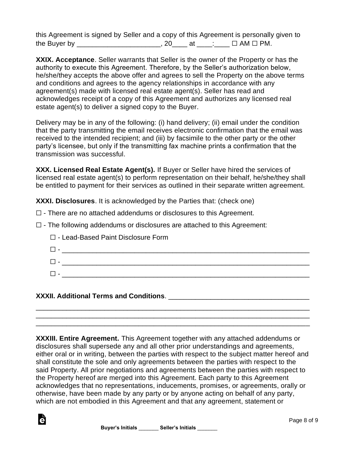this Agreement is signed by Seller and a copy of this Agreement is personally given to the Buyer by \_\_\_\_\_\_\_\_\_\_\_\_\_\_\_\_\_\_\_\_\_\_\_, 20\_\_\_\_ at \_\_\_\_: \_\_\_  $\Box$  AM  $\Box$  PM.

**XXIX. Acceptance**. Seller warrants that Seller is the owner of the Property or has the authority to execute this Agreement. Therefore, by the Seller's authorization below, he/she/they accepts the above offer and agrees to sell the Property on the above terms and conditions and agrees to the agency relationships in accordance with any agreement(s) made with licensed real estate agent(s). Seller has read and acknowledges receipt of a copy of this Agreement and authorizes any licensed real estate agent(s) to deliver a signed copy to the Buyer.

Delivery may be in any of the following: (i) hand delivery; (ii) email under the condition that the party transmitting the email receives electronic confirmation that the email was received to the intended recipient; and (iii) by facsimile to the other party or the other party's licensee, but only if the transmitting fax machine prints a confirmation that the transmission was successful.

**XXX. Licensed Real Estate Agent(s).** If Buyer or Seller have hired the services of licensed real estate agent(s) to perform representation on their behalf, he/she/they shall be entitled to payment for their services as outlined in their separate written agreement.

**XXXI. Disclosures**. It is acknowledged by the Parties that: (check one)

- ☐ There are no attached addendums or disclosures to this Agreement.
- ☐ The following addendums or disclosures are attached to this Agreement:

| $\Box$ - Lead-Based Paint Disclosure Form |
|-------------------------------------------|
|                                           |
|                                           |
|                                           |

## **XXXII. Additional Terms and Conditions**. \_\_\_\_\_\_\_\_\_\_\_\_\_\_\_\_\_\_\_\_\_\_\_\_\_\_\_\_\_\_\_\_\_\_\_\_\_

**XXXIII. Entire Agreement.** This Agreement together with any attached addendums or disclosures shall supersede any and all other prior understandings and agreements, either oral or in writing, between the parties with respect to the subject matter hereof and shall constitute the sole and only agreements between the parties with respect to the said Property. All prior negotiations and agreements between the parties with respect to the Property hereof are merged into this Agreement. Each party to this Agreement acknowledges that no representations, inducements, promises, or agreements, orally or otherwise, have been made by any party or by anyone acting on behalf of any party, which are not embodied in this Agreement and that any agreement, statement or

\_\_\_\_\_\_\_\_\_\_\_\_\_\_\_\_\_\_\_\_\_\_\_\_\_\_\_\_\_\_\_\_\_\_\_\_\_\_\_\_\_\_\_\_\_\_\_\_\_\_\_\_\_\_\_\_\_\_\_\_\_\_\_\_\_\_\_\_\_\_\_\_ \_\_\_\_\_\_\_\_\_\_\_\_\_\_\_\_\_\_\_\_\_\_\_\_\_\_\_\_\_\_\_\_\_\_\_\_\_\_\_\_\_\_\_\_\_\_\_\_\_\_\_\_\_\_\_\_\_\_\_\_\_\_\_\_\_\_\_\_\_\_\_\_ \_\_\_\_\_\_\_\_\_\_\_\_\_\_\_\_\_\_\_\_\_\_\_\_\_\_\_\_\_\_\_\_\_\_\_\_\_\_\_\_\_\_\_\_\_\_\_\_\_\_\_\_\_\_\_\_\_\_\_\_\_\_\_\_\_\_\_\_\_\_\_\_